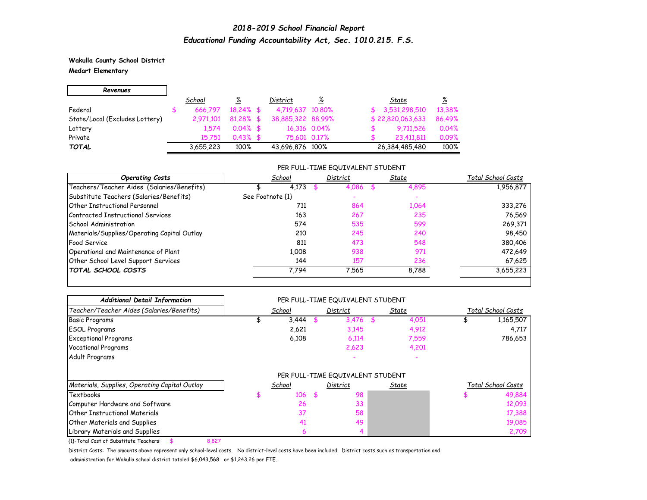**Wakulla County School District Medart Elementary**

| Revenues                       |           |              |                   |              |                  |        |
|--------------------------------|-----------|--------------|-------------------|--------------|------------------|--------|
|                                | School    | ℅            | District          | <u>%</u>     | State            | %      |
| Federal                        | 666.797   | $18.24\%$ \$ | 4,719,637 10,80%  |              | \$3,531,298,510  | 13.38% |
| State/Local (Excludes Lottery) | 2,971,101 | $81.28\%$ \$ | 38,885,322 88,99% |              | \$22,820,063,633 | 86.49% |
| Lottery                        | 1.574     | $0.04\%$ \$  |                   | 16,316 0.04% | 9.711,526        | 0.04%  |
| Private                        | 15 751    | $0.43\%$ \$  | 75.601 0.17%      |              | 23,411,811       | 0.09%  |
| <b>TOTAL</b>                   | 3,655,223 | 100%         | 43,696,876 100%   |              | 26,384,485,480   | 100%   |

#### PER FULL-TIME EQUIVALENT STUDENT

| <b>Operating Costs</b>                      |                  | School | District |       | State |       | Total School Costs |
|---------------------------------------------|------------------|--------|----------|-------|-------|-------|--------------------|
| Teachers/Teacher Aides (Salaries/Benefits)  |                  | 4,173  |          | 4,086 |       | 4,895 | 1,956,877          |
| Substitute Teachers (Salaries/Benefits)     | See Footnote {1} |        |          |       |       |       |                    |
| <b>Other Instructional Personnel</b>        |                  | 711    |          | 864   |       | 1,064 | 333,276            |
| Contracted Instructional Services           |                  | 163    |          | 267   |       | 235   | 76,569             |
| <b>School Administration</b>                |                  | 574    |          | 535   |       | 599   | 269,371            |
| Materials/Supplies/Operating Capital Outlay |                  | 210    |          | 245   |       | 240   | 98,450             |
| <b>Food Service</b>                         |                  | 811    |          | 473   |       | 548   | 380,406            |
| Operational and Maintenance of Plant        |                  | 1.008  |          | 938   |       | 971   | 472,649            |
| Other School Level Support Services         |                  | 144    |          | 157   |       | 236   | 67,625             |
| <b>TOTAL SCHOOL COSTS</b>                   |                  | 7.794  |          | 7.565 |       | 8,788 | 3,655,223          |

| <b>Additional Detail Information</b>          |        | PER FULL-TIME EQUIVALENT STUDENT |       |                    |
|-----------------------------------------------|--------|----------------------------------|-------|--------------------|
| Teacher/Teacher Aides (Salaries/Benefits)     | School | District                         | State | Total School Costs |
| <b>Basic Programs</b>                         | 3,444  | $3,476$ \$                       | 4,051 | 1,165,507          |
| <b>ESOL Programs</b>                          | 2,621  | 3,145                            | 4,912 | 4,717              |
| <b>Exceptional Programs</b>                   | 6,108  | 6,114                            | 7,559 | 786,653            |
| <b>Vocational Programs</b>                    |        | 2,623                            | 4,201 |                    |
| Adult Programs                                |        |                                  |       |                    |
|                                               |        | PER FULL-TIME EQUIVALENT STUDENT |       |                    |
| Materials, Supplies, Operating Capital Outlay | School | District                         | State | Total School Costs |
| Textbooks                                     | 106    | \$<br>98                         |       | 49,884             |
| Computer Hardware and Software                | 26     | 33                               |       | 12,093             |
| <b>Other Instructional Materials</b>          | 37     | 58                               |       | 17,388             |
| <b>Other Materials and Supplies</b>           | 41     | 49                               |       | 19,085             |
| Library Materials and Supplies                | 6      |                                  |       | 2,709              |

{1}-Total Cost of Substitute Teachers: \$ 8,827

District Costs: The amounts above represent only school-level costs. No district-level costs have been included. District costs such as transportation and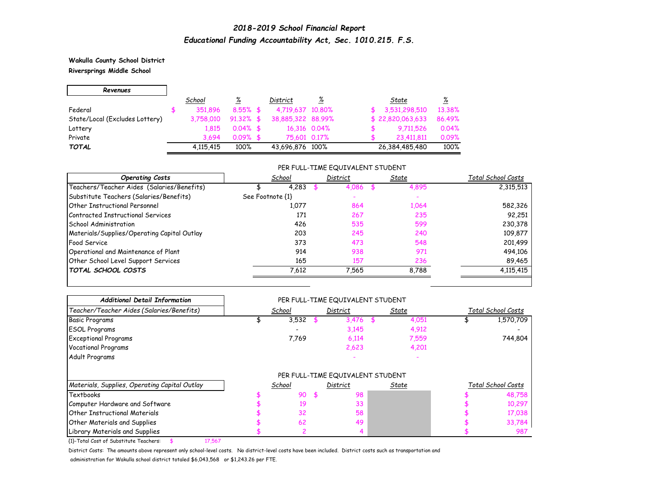**Wakulla County School District Riversprings Middle School**

| Revenues                       |           |              |                   |                 |                  |        |
|--------------------------------|-----------|--------------|-------------------|-----------------|------------------|--------|
|                                | School    | %            | District          | $\frac{\%}{\%}$ | State            | ℅      |
| Federal                        | 351.896   | $8.55\%$ \$  | 4,719,637 10,80%  |                 | 3,531,298,510    | 13.38% |
| State/Local (Excludes Lottery) | 3,758,010 | $91.32\%$ \$ | 38,885,322 88,99% |                 | \$22,820,063,633 | 86.49% |
| Lottery                        | 1.815     | $0.04\%$ \$  |                   | 16,316 0.04%    | 9.711,526        | 0.04%  |
| Private                        | 3.694     | $0.09%$ \$   | 75,601 0.17%      |                 | 23,411,811       | 0.09%  |
| <b>TOTAL</b>                   | 4.115.415 | 100%         | 43,696,876 100%   |                 | 26,384,485,480   | 100%   |

### PER FULL-TIME EQUIVALENT STUDENT

| <b>Operating Costs</b>                      | School           | District | State | Total School Costs |
|---------------------------------------------|------------------|----------|-------|--------------------|
| Teachers/Teacher Aides (Salaries/Benefits)  | 4,283            | 4,086    | 4,895 | 2,315,513          |
| Substitute Teachers (Salaries/Benefits)     | See Footnote {1} |          |       |                    |
| <b>Other Instructional Personnel</b>        | 1,077            | 864      | 1,064 | 582,326            |
| Contracted Instructional Services           | 171              | 267      | 235   | 92,251             |
| <b>School Administration</b>                | 426              | 535      | 599   | 230,378            |
| Materials/Supplies/Operating Capital Outlay | 203              | 245      | 240   | 109,877            |
| <b>Food Service</b>                         | 373              | 473      | 548   | 201,499            |
| Operational and Maintenance of Plant        | 914              | 938      | 971   | 494,106            |
| Other School Level Support Services         | 165              | 157      | 236   | 89,465             |
| TOTAL SCHOOL COSTS                          | 7,612            | 7.565    | 8,788 | 4,115,415          |

| <b>Additional Detail Information</b>          |        |     | PER FULL-TIME EQUIVALENT STUDENT |    |       |                    |
|-----------------------------------------------|--------|-----|----------------------------------|----|-------|--------------------|
| Teacher/Teacher Aides (Salaries/Benefits)     | School |     | District                         |    | State | Total School Costs |
| <b>Basic Programs</b>                         | 3,532  |     | 3,476                            | 55 | 4,051 | 1,570,709          |
| <b>ESOL Programs</b>                          |        |     | 3,145                            |    | 4,912 |                    |
| <b>Exceptional Programs</b>                   | 7,769  |     | 6,114                            |    | 7,559 | 744,804            |
| <b>Vocational Programs</b>                    |        |     | 2,623                            |    | 4,201 |                    |
| Adult Programs                                |        |     |                                  |    |       |                    |
|                                               |        |     | PER FULL-TIME EQUIVALENT STUDENT |    |       |                    |
| Materials, Supplies, Operating Capital Outlay | School |     | District                         |    | State | Total School Costs |
| Textbooks                                     | 90     | \$. | 98                               |    |       | 48,758             |
| Computer Hardware and Software                | 19     |     | 33                               |    |       | 10,297             |
| Other Instructional Materials                 | 32     |     | 58                               |    |       | 17,038             |
| <b>Other Materials and Supplies</b>           | 62     |     | 49                               |    |       | 33,784             |
| Library Materials and Supplies                |        |     |                                  |    |       | 987                |

{1}-Total Cost of Substitute Teachers: \$ 17,567

District Costs: The amounts above represent only school-level costs. No district-level costs have been included. District costs such as transportation and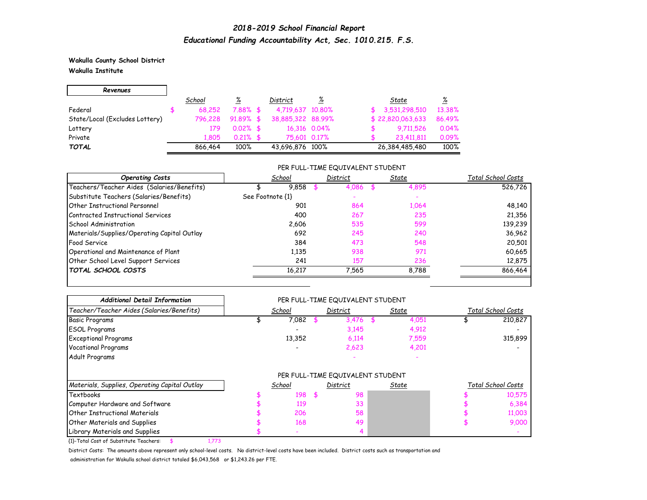**Wakulla County School District Wakulla Institute**

Г

| Revenues                       |         |             |                   |                       |                            |
|--------------------------------|---------|-------------|-------------------|-----------------------|----------------------------|
|                                | School  | ℅           | District          | $\frac{\%}{\sqrt{2}}$ | <u>%</u><br>State          |
| Federal                        | 68.252  | $7.88\%$ \$ | 4,719,637 10,80%  |                       | 13.38%<br>3,531,298,510    |
| State/Local (Excludes Lottery) | 796.228 | $91.89%$ \$ | 38,885,322 88,99% |                       | \$22,820,063,633<br>86.49% |
| Lottery                        | 179     | $0.02\%$ \$ |                   | 16,316 0.04%          | 0.04%<br>9.711,526         |
| Private                        | 1.805   | $0.21\%$ \$ |                   | 75,601 0.17%          | 0.09%<br>23,411,811        |
| <b>TOTAL</b>                   | 866.464 | 100%        | 43,696,876 100%   |                       | 100%<br>26,384,485,480     |

### PER FULL-TIME EQUIVALENT STUDENT

| <b>Operating Costs</b>                      | School           | District | State | Total School Costs |
|---------------------------------------------|------------------|----------|-------|--------------------|
| Teachers/Teacher Aides (Salaries/Benefits)  | 9,858            | 4.086    | 4,895 | 526.726            |
| Substitute Teachers (Salaries/Benefits)     | See Footnote {1} |          |       |                    |
| <b>Other Instructional Personnel</b>        | 901              | 864      | 1,064 | 48,140             |
| Contracted Instructional Services           | 400              | 267      | 235   | 21,356             |
| School Administration                       | 2.606            | 535      | 599   | 139,239            |
| Materials/Supplies/Operating Capital Outlay | 692              | 245      | 240   | 36,962             |
| Food Service                                | 384              | 473      | 548   | 20,501             |
| Operational and Maintenance of Plant        | 1,135            | 938      | 971   | 60,665             |
| Other School Level Support Services         | 241              | 157      | 236   | 12,875             |
| <b>TOTAL SCHOOL COSTS</b>                   | 16,217           | 7.565    | 8,788 | 866,464            |

| <b>Additional Detail Information</b>          |        |     | PER FULL-TIME EQUIVALENT STUDENT |       |       |                    |
|-----------------------------------------------|--------|-----|----------------------------------|-------|-------|--------------------|
| Teacher/Teacher Aides (Salaries/Benefits)     | School |     | District                         | State |       | Total School Costs |
| <b>Basic Programs</b>                         | 7,082  |     | 3,476                            |       | 4,051 | 210,827            |
| <b>ESOL Programs</b>                          |        |     | 3,145                            |       | 4,912 |                    |
| <b>Exceptional Programs</b>                   | 13,352 |     | 6,114                            |       | 7,559 | 315,899            |
| <b>Vocational Programs</b>                    |        |     | 2,623                            |       | 4,201 |                    |
| Adult Programs                                |        |     |                                  |       |       |                    |
|                                               |        |     | PER FULL-TIME EQUIVALENT STUDENT |       |       |                    |
| Materials, Supplies, Operating Capital Outlay | School |     | District                         | State |       | Total School Costs |
| Textbooks                                     | 198    | \$. | 98                               |       |       | 10,575             |
| Computer Hardware and Software                | 119    |     | 33                               |       |       | 6,384              |
| <b>Other Instructional Materials</b>          | 206    |     | 58                               |       |       | 11,003             |
| <b>Other Materials and Supplies</b>           | 168    |     | 49                               |       |       | 9,000              |
| Library Materials and Supplies                |        |     |                                  |       |       |                    |

{1}-Total Cost of Substitute Teachers: \$ 1,773

District Costs: The amounts above represent only school-level costs. No district-level costs have been included. District costs such as transportation and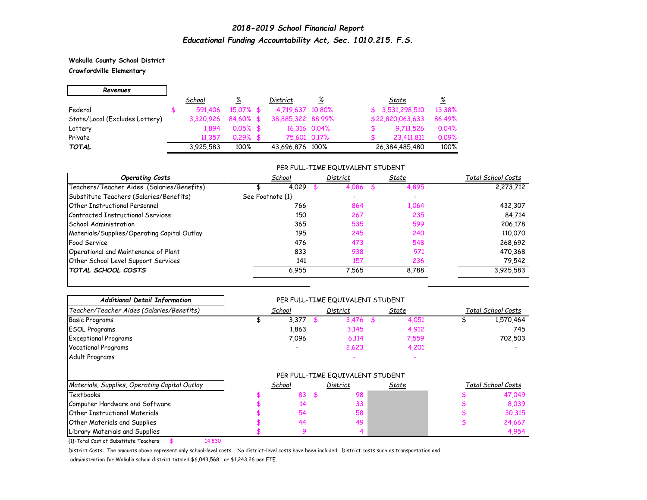### **Wakulla County School District Crawfordville Elementary**

| Revenues                       |           |              |                   |              |                  |          |
|--------------------------------|-----------|--------------|-------------------|--------------|------------------|----------|
|                                | School    | ℅            | District          | <u>%</u>     | State            | <u>%</u> |
| Federal                        | 591,406   | $15.07\%$ \$ | 4,719,637 10,80%  |              | \$3,531,298,510  | 13.38%   |
| State/Local (Excludes Lottery) | 3.320.926 | 84.60% \$    | 38,885,322 88,99% |              | \$22,820,063,633 | 86.49%   |
| Lottery                        | 1.894     | $0.05\%$ \$  |                   | 16,316 0.04% | 9.711,526        | 0.04%    |
| Private                        | 11.357    | $0.29%$ \$   | 75,601 0.17%      |              | 23,411,811       | 0.09%    |
| <b>TOTAL</b>                   | 3,925,583 | 100%         | 43,696,876 100%   |              | 26,384,485,480   | 100%     |

### PER FULL-TIME EQUIVALENT STUDENT

| <b>Operating Costs</b>                      | School           |     | District | State | Total School Costs |
|---------------------------------------------|------------------|-----|----------|-------|--------------------|
| Teachers/Teacher Aides (Salaries/Benefits)  | 4,029            |     | 4,086    | 4,895 | 2,273,712          |
| Substitute Teachers (Salaries/Benefits)     | See Footnote {1} |     |          |       |                    |
| <b>Other Instructional Personnel</b>        |                  | 766 | 864      | 1,064 | 432,307            |
| Contracted Instructional Services           |                  | 150 | 267      | 235   | 84,714             |
| <b>School Administration</b>                |                  | 365 | 535      | 599   | 206,178            |
| Materials/Supplies/Operating Capital Outlay |                  | 195 | 245      | 240   | 110,070            |
| <b>Food Service</b>                         |                  | 476 | 473      | 548   | 268,692            |
| Operational and Maintenance of Plant        |                  | 833 | 938      | 971   | 470,368            |
| Other School Level Support Services         |                  | 141 | 157      | 236   | 79,542             |
| TOTAL SCHOOL COSTS                          | 6,955            |     | 7.565    | 8.788 | 3.925.583          |

| <b>Additional Detail Information</b>          |        | PER FULL-TIME EQUIVALENT STUDENT |       |       |                    |
|-----------------------------------------------|--------|----------------------------------|-------|-------|--------------------|
| Teacher/Teacher Aides (Salaries/Benefits)     | School | District                         | State |       | Total School Costs |
| <b>Basic Programs</b>                         | 3,377  | $3,476$ \$                       |       | 4,051 | 1,570,464          |
| <b>ESOL Programs</b>                          | 1,863  | 3,145                            |       | 4,912 | 745                |
| <b>Exceptional Programs</b>                   | 7,096  | 6,114                            |       | 7,559 | 702,503            |
| <b>Vocational Programs</b>                    |        | 2,623                            |       | 4,201 |                    |
| Adult Programs                                |        |                                  |       |       |                    |
|                                               |        | PER FULL-TIME EQUIVALENT STUDENT |       |       |                    |
| Materials, Supplies, Operating Capital Outlay | School | District                         | State |       | Total School Costs |
| Textbooks                                     | 83     | \$<br>98                         |       |       | 47,049             |
| Computer Hardware and Software                | 14     | 33                               |       |       | 8,039              |
| <b>Other Instructional Materials</b>          | 54     | 58                               |       |       | 30,315             |
| <b>Other Materials and Supplies</b>           | 44     | 49                               |       |       | 24,667             |
| Library Materials and Supplies                | 9      |                                  |       |       | 4,954              |

{1}-Total Cost of Substitute Teachers: \$ 14,830

District Costs: The amounts above represent only school-level costs. No district-level costs have been included. District costs such as transportation and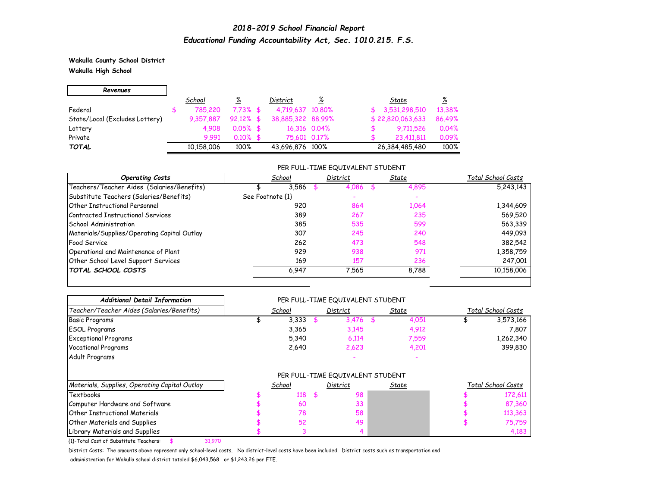**Wakulla County School District Wakulla High School**

 $\blacksquare$ 

| Revenues                       |            |              |                   |              |                            |  |
|--------------------------------|------------|--------------|-------------------|--------------|----------------------------|--|
|                                | School     | ℅            | District          | <u>%</u>     | <u>%</u><br>State          |  |
| Federal                        | 785,220    | $7.73\%$ \$  | 4,719,637 10,80%  |              | 13.38%<br>\$3,531,298,510  |  |
| State/Local (Excludes Lottery) | 9,357,887  | $92.12\%$ \$ | 38,885,322 88.99% |              | \$22,820,063,633<br>86.49% |  |
| Lottery                        | 4.908      | $0.05\%$ \$  |                   | 16,316 0.04% | 0.04%<br>9.711,526         |  |
| Private                        | 9.991      | $0.10\%$ \$  | 75,601 0.17%      |              | 0.09%<br>23.411.811        |  |
| <b>TOTAL</b>                   | 10,158,006 | 100%         | 43,696,876 100%   |              | 100%<br>26,384,485,480     |  |

### PER FULL-TIME EQUIVALENT STUDENT

| <b>Operating Costs</b>                      | School           | District | State | Total School Costs |
|---------------------------------------------|------------------|----------|-------|--------------------|
| Teachers/Teacher Aides (Salaries/Benefits)  | 3.586            | 4.086    | 4,895 | 5,243,143          |
| Substitute Teachers (Salaries/Benefits)     | See Footnote {1} |          |       |                    |
| <b>Other Instructional Personnel</b>        | 920              | 864      | 1,064 | 1,344,609          |
| Contracted Instructional Services           | 389              | 267      | 235   | 569,520            |
| <b>School Administration</b>                | 385              | 535      | 599   | 563,339            |
| Materials/Supplies/Operating Capital Outlay | 307              | 245      | 240   | 449,093            |
| <b>Food Service</b>                         | 262              | 473      | 548   | 382,542            |
| Operational and Maintenance of Plant        | 929              | 938      | 971   | 1,358,759          |
| Other School Level Support Services         | 169              | 157      | 236   | 247,001            |
| <b>TOTAL SCHOOL COSTS</b>                   | 6,947            | 7.565    | 8,788 | 10,158,006         |

| <b>Additional Detail Information</b>          |        | PER FULL-TIME EQUIVALENT STUDENT |       |                    |
|-----------------------------------------------|--------|----------------------------------|-------|--------------------|
| Teacher/Teacher Aides (Salaries/Benefits)     | School | District                         | State | Total School Costs |
| <b>Basic Programs</b>                         | 3,333  | $3,476$ \$                       | 4,051 | 3,573,166          |
| <b>ESOL Programs</b>                          | 3,365  | 3,145                            | 4,912 | 7,807              |
| <b>Exceptional Programs</b>                   | 5,340  | 6,114                            | 7,559 | 1,262,340          |
| <b>Vocational Programs</b>                    | 2,640  | 2,623                            | 4,201 | 399,830            |
| Adult Programs                                |        |                                  |       |                    |
|                                               |        | PER FULL-TIME EQUIVALENT STUDENT |       |                    |
| Materials, Supplies, Operating Capital Outlay | School | <b>District</b>                  | State | Total School Costs |
| Textbooks                                     | 118    | \$<br>98                         |       | 172,611            |
| Computer Hardware and Software                | 60     | 33                               |       | 87,360             |
| Other Instructional Materials                 | 78     | 58                               |       | 113,363            |
| <b>Other Materials and Supplies</b>           | 52     | 49                               |       | 75,759             |
| Library Materials and Supplies                |        |                                  |       | 4,183              |

{1}-Total Cost of Substitute Teachers: \$ 31,970

District Costs: The amounts above represent only school-level costs. No district-level costs have been included. District costs such as transportation and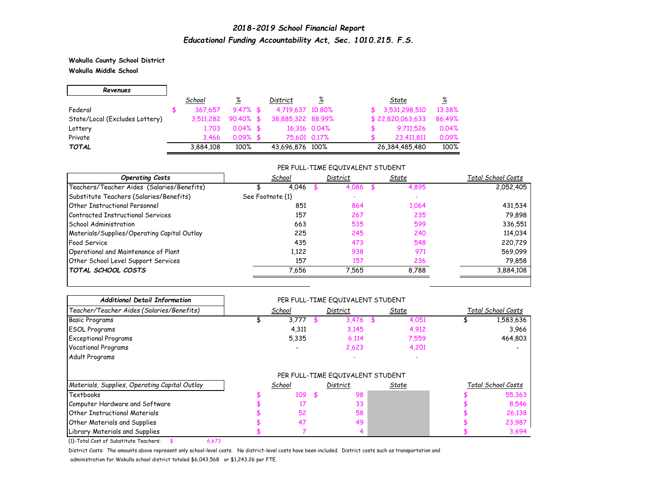**Wakulla County School District Wakulla Middle School**

 $\blacksquare$ 

| Revenues                       |           |              |                   |              |                  |          |
|--------------------------------|-----------|--------------|-------------------|--------------|------------------|----------|
|                                | School    | ℅            | District          | <u>%</u>     | State            | <u>%</u> |
| Federal                        | 367.657   | $9.47\%$ \$  | 4,719,637 10,80%  |              | \$3,531,298,510  | 13.38%   |
| State/Local (Excludes Lottery) | 3,511,282 | $90.40\%$ \$ | 38,885,322 88,99% |              | \$22,820,063,633 | 86.49%   |
| Lottery                        | 1.703     | $0.04\%$ \$  |                   | 16,316 0.04% | 9.711,526        | 0.04%    |
| Private                        | 3.466     | $0.09%$ \$   | 75.601 0.17%      |              | 23,411,811       | 0.09%    |
| <b>TOTAL</b>                   | 3,884,108 | 100%         | 43,696,876 100%   |              | 26,384,485,480   | 100%     |

### PER FULL-TIME EQUIVALENT STUDENT

| <b>Operating Costs</b>                      | School           | District | State | Total School Costs |
|---------------------------------------------|------------------|----------|-------|--------------------|
| Teachers/Teacher Aides (Salaries/Benefits)  | 4.046            | 4.086    | 4,895 | 2,052,405          |
| Substitute Teachers (Salaries/Benefits)     | See Footnote {1} |          |       |                    |
| Other Instructional Personnel               | 851              | 864      | 1,064 | 431,534            |
| Contracted Instructional Services           | 157              | 267      | 235   | 79,898             |
| School Administration                       | 663              | 535      | 599   | 336,551            |
| Materials/Supplies/Operating Capital Outlay | 225              | 245      | 240   | 114,034            |
| <b>Food Service</b>                         | 435              | 473      | 548   | 220,729            |
| Operational and Maintenance of Plant        | 1,122            | 938      | 971   | 569,099            |
| Other School Level Support Services         | 157              | 157      | 236   | 79,858             |
| <b>TOTAL SCHOOL COSTS</b>                   | 7,656            | 7.565    | 8.788 | 3,884,108          |

| <b>Additional Detail Information</b>          |        |     | PER FULL-TIME EQUIVALENT STUDENT |       |                    |
|-----------------------------------------------|--------|-----|----------------------------------|-------|--------------------|
| Teacher/Teacher Aides (Salaries/Benefits)     | School |     | District                         | State | Total School Costs |
| <b>Basic Programs</b>                         | 3,777  |     | $3,476$ \$                       | 4,051 | 1,583,636          |
| <b>ESOL Programs</b>                          | 4,311  |     | 3,145                            | 4,912 | 3,966              |
| <b>Exceptional Programs</b>                   | 5,335  |     | 6,114                            | 7,559 | 464,803            |
| <b>Vocational Programs</b>                    |        |     | 2,623                            | 4,201 |                    |
| Adult Programs                                |        |     |                                  |       |                    |
|                                               |        |     | PER FULL-TIME EQUIVALENT STUDENT |       |                    |
| Materials, Supplies, Operating Capital Outlay | School |     | District                         | State | Total School Costs |
| Textbooks                                     | 109    | \$. | 98                               |       | 55,363             |
| Computer Hardware and Software                |        |     | 33                               |       | 8,546              |
| Other Instructional Materials                 | 52     |     | 58                               |       | 26,138             |
| <b>Other Materials and Supplies</b>           | 47     |     | 49                               |       | 23,987             |
| Library Materials and Supplies                |        |     |                                  |       | 3,694              |

{1}-Total Cost of Substitute Teachers: \$ 6,673

District Costs: The amounts above represent only school-level costs. No district-level costs have been included. District costs such as transportation and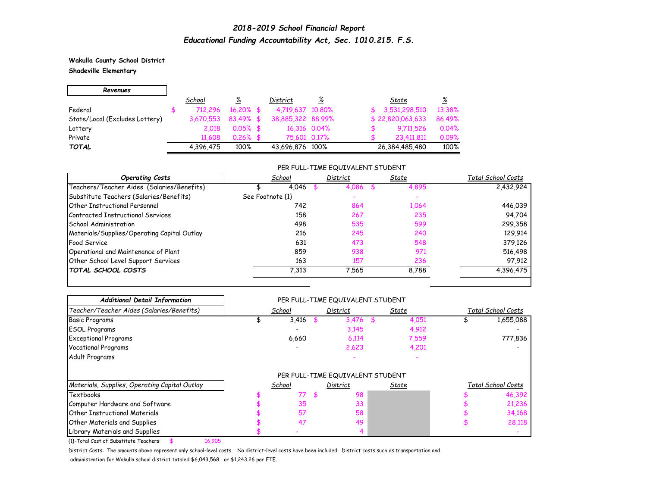**Wakulla County School District Shadeville Elementary**

| Revenues                       |           |              |                   |              |                  |          |
|--------------------------------|-----------|--------------|-------------------|--------------|------------------|----------|
|                                | School    | ℅            | District          | <u>%</u>     | State            | <u>%</u> |
| Federal                        | 712.296   | $16.20\%$ \$ | 4,719,637 10,80%  |              | 3,531,298,510    | 13.38%   |
| State/Local (Excludes Lottery) | 3,670,553 | $83.49%$ \$  | 38,885,322 88,99% |              | \$22,820,063,633 | 86.49%   |
| Lottery                        | 2.018     | $0.05\%$ \$  |                   | 16,316 0.04% | 9.711,526        | 0.04%    |
| Private                        | 11,608    | $0.26\%$ \$  | 75,601 0.17%      |              | 23,411,811       | 0.09%    |
| <b>TOTAL</b>                   | 4.396.475 | 100%         | 43,696,876 100%   |              | 26,384,485,480   | 100%     |

### PER FULL-TIME EQUIVALENT STUDENT

| <b>Operating Costs</b>                      | School           | District | State | Total School Costs |
|---------------------------------------------|------------------|----------|-------|--------------------|
| Teachers/Teacher Aides (Salaries/Benefits)  | 4.046            | 4.086    | 4,895 | 2,432,924          |
| Substitute Teachers (Salaries/Benefits)     | See Footnote {1} |          |       |                    |
| <b>Other Instructional Personnel</b>        | 742              | 864      | 1,064 | 446,039            |
| Contracted Instructional Services           | 158              | 267      | 235   | 94,704             |
| School Administration                       | 498              | 535      | 599   | 299,358            |
| Materials/Supplies/Operating Capital Outlay | 216              | 245      | 240   | 129,914            |
| Food Service                                | 631              | 473      | 548   | 379,126            |
| Operational and Maintenance of Plant        | 859              | 938      | 971   | 516,498            |
| Other School Level Support Services         | 163              | 157      | 236   | 97,912             |
| <b>TOTAL SCHOOL COSTS</b>                   | 7,313            | 7.565    | 8.788 | 4,396,475          |

| <b>Additional Detail Information</b>          |        | PER FULL-TIME EQUIVALENT STUDENT |       |       |                    |
|-----------------------------------------------|--------|----------------------------------|-------|-------|--------------------|
| Teacher/Teacher Aides (Salaries/Benefits)     | School | District                         | State |       | Total School Costs |
| <b>Basic Programs</b>                         | 3,416  | 3,476                            |       | 4,051 | 1,655,088          |
| <b>ESOL Programs</b>                          |        | 3,145                            |       | 4,912 |                    |
| <b>Exceptional Programs</b>                   | 6,660  | 6,114                            |       | 7,559 | 777,836            |
| <b>Vocational Programs</b>                    |        | 2,623                            |       | 4,201 |                    |
| Adult Programs                                |        |                                  |       |       |                    |
|                                               |        | PER FULL-TIME EQUIVALENT STUDENT |       |       |                    |
| Materials, Supplies, Operating Capital Outlay | School | District                         | State |       | Total School Costs |
| Textbooks                                     | 77     | \$<br>98                         |       |       | 46,392             |
| Computer Hardware and Software                | 35     | 33                               |       |       | 21,236             |
| <b>Other Instructional Materials</b>          | 57     | 58                               |       |       | 34,168             |
| <b>Other Materials and Supplies</b>           | 47     | 49                               |       |       | 28,118             |
| Library Materials and Supplies                |        |                                  |       |       |                    |

{1}-Total Cost of Substitute Teachers: \$ 16,905

District Costs: The amounts above represent only school-level costs. No district-level costs have been included. District costs such as transportation and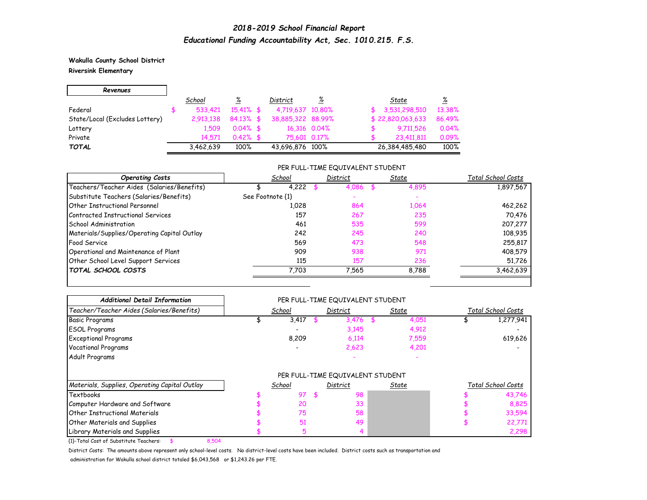### **Wakulla County School District Riversink Elementary**

 $\blacksquare$ 

| Revenues                       |           |              |                   |              |                  |          |
|--------------------------------|-----------|--------------|-------------------|--------------|------------------|----------|
|                                | School    | ℅            | District          | <u>%</u>     | State            | <u>%</u> |
| Federal                        | 533.421   | $15.41\%$ \$ | 4,719,637 10,80%  |              | 3,531,298,510    | 13.38%   |
| State/Local (Excludes Lottery) | 2.913.138 | $84.13\%$ \$ | 38,885,322 88,99% |              | \$22,820,063,633 | 86.49%   |
| Lottery                        | 1.509     | $0.04\%$ \$  |                   | 16,316 0.04% | 9.711,526        | 0.04%    |
| Private                        | 14.571    | $0.42\%$ \$  | 75,601 0.17%      |              | 23,411,811       | 0.09%    |
| <b>TOTAL</b>                   | 3,462,639 | 100%         | 43,696,876 100%   |              | 26,384,485,480   | 100%     |

### PER FULL-TIME EQUIVALENT STUDENT

| <b>Operating Costs</b>                      | School           | District | State | Total School Costs |
|---------------------------------------------|------------------|----------|-------|--------------------|
| Teachers/Teacher Aides (Salaries/Benefits)  | 4,222            | 4,086    | 4,895 | 1,897,567          |
| Substitute Teachers (Salaries/Benefits)     | See Footnote {1} |          |       |                    |
| <b>Other Instructional Personnel</b>        | 1.028            | 864      | 1,064 | 462,262            |
| Contracted Instructional Services           | 157              | 267      | 235   | 70,476             |
| School Administration                       | 461              | 535      | 599   | 207,277            |
| Materials/Supplies/Operating Capital Outlay | 242              | 245      | 240   | 108,935            |
| <b>Food Service</b>                         | 569              | 473      | 548   | 255,817            |
| Operational and Maintenance of Plant        | 909              | 938      | 971   | 408,579            |
| Other School Level Support Services         | 115              | 157      | 236   | 51,726             |
| <b>TOTAL SCHOOL COSTS</b>                   | 7.703            | 7,565    | 8,788 | 3,462,639          |

| <b>Additional Detail Information</b>          |        | PER FULL-TIME EQUIVALENT STUDENT |       |       |                    |
|-----------------------------------------------|--------|----------------------------------|-------|-------|--------------------|
| Teacher/Teacher Aides (Salaries/Benefits)     | School | District                         | State |       | Total School Costs |
| <b>Basic Programs</b>                         | 3,417  | 3,476                            |       | 4,051 | 1,277,941          |
| <b>ESOL Programs</b>                          |        | 3,145                            |       | 4,912 |                    |
| <b>Exceptional Programs</b>                   | 8,209  | 6,114                            |       | 7,559 | 619,626            |
| <b>Vocational Programs</b>                    |        | 2,623                            |       | 4,201 |                    |
| Adult Programs                                |        |                                  |       |       |                    |
|                                               |        | PER FULL-TIME EQUIVALENT STUDENT |       |       |                    |
| Materials, Supplies, Operating Capital Outlay | School | District                         | State |       | Total School Costs |
| Textbooks                                     | 97     | \$<br>98                         |       |       | 43,746             |
| Computer Hardware and Software                | 20     | 33                               |       |       | 8,825              |
| <b>Other Instructional Materials</b>          | 75     | 58                               |       |       | 33,594             |
| <b>Other Materials and Supplies</b>           | 51     | 49                               |       |       | 22,771             |
|                                               |        |                                  |       |       | 2,298              |

{1}-Total Cost of Substitute Teachers: \$ 8,504

District Costs: The amounts above represent only school-level costs. No district-level costs have been included. District costs such as transportation and